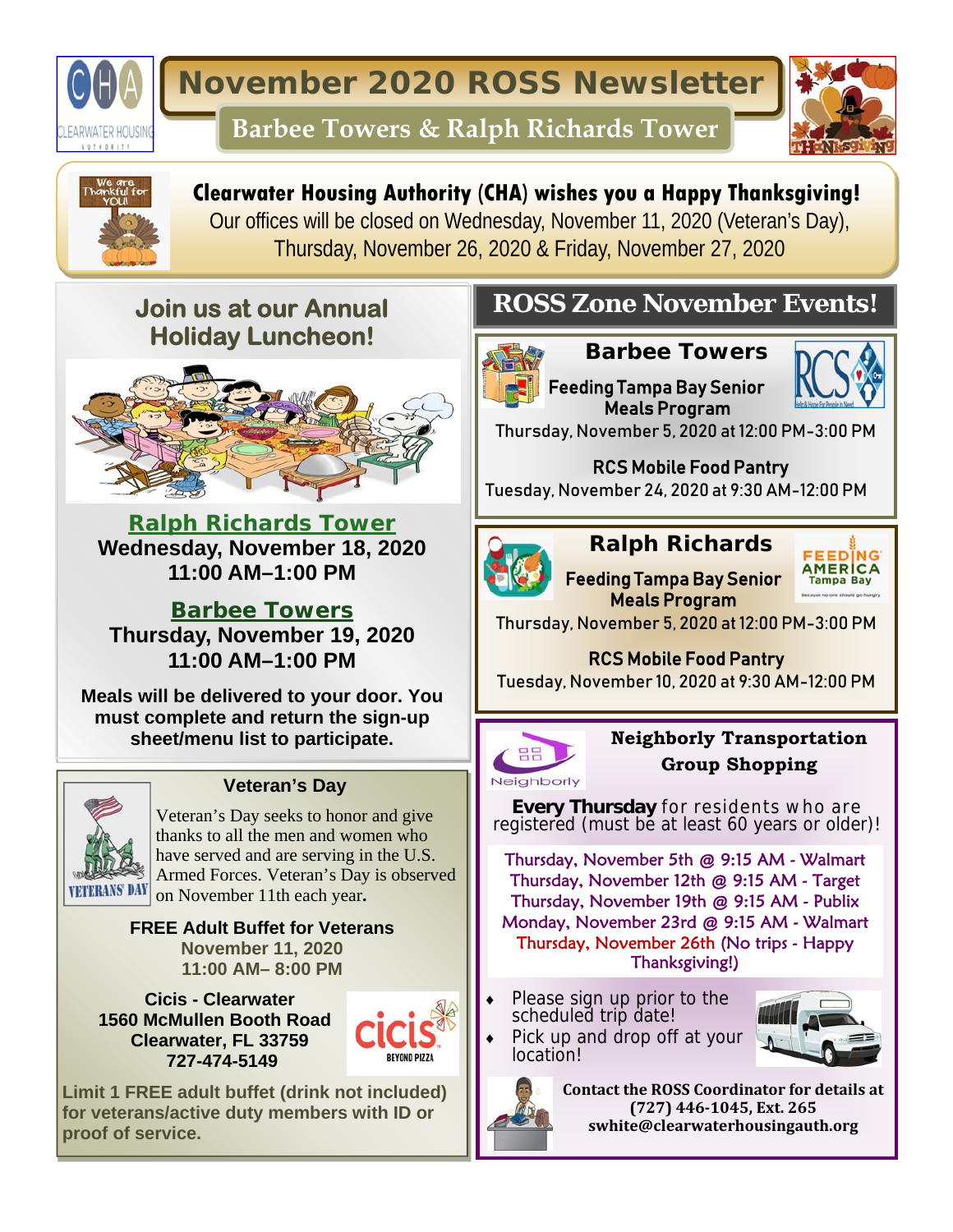

**November 2020 ROSS Newsletter** 

**Barbee Towers & Ralph Richards Tower** 



 **Clearwater Housing Authority (CHA) wishes you a Happy Thanksgiving!**  Our offices will be closed on Wednesday, November 11, 2020 (Veteran's Day), Thursday, November 26, 2020 & Friday, November 27, 2020

## **Join us at our Annual Holiday Luncheon!**



**Ralph Richards Tower Wednesday, November 18, 2020 11:00 AM–1:00 PM** 

**Barbee Towers Thursday, November 19, 2020 11:00 AM–1:00 PM** 

**Meals will be delivered to your door. You must complete and return the sign-up sheet/menu list to participate.** 



#### **Veteran's Day**

Veteran's Day seeks to honor and give thanks to all the men and women who have served and are serving in the U.S. Armed Forces. Veteran's Day is observed **VETERANS DAY** on November 11th each year.

> **FREE Adult Buffet for Veterans November 11, 2020 11:00 AM– 8:00 PM**

 **Cicis - Clearwater 1560 McMullen Booth Road Clearwater, FL 33759 727-474-5149** 



**Limit 1 FREE adult buffet (drink not included) for veterans/active duty members with ID or proof of service.** 

# **ROSS Zone November Events!**







Feeding Tampa Bay Senior Meals Program

Thursday, November 5, 2020 at 12:00 PM-3:00 PM

#### RCS Mobile Food Pantry

Tuesday, November 24, 2020 at 9:30 AM-12:00 PM



### **Ralph Richards**

Feeding Tampa Bay Senior Meals Program



Thursday, November 5, 2020 at 12:00 PM-3:00 PM

#### RCS Mobile Food Pantry

Tuesday, November 10, 2020 at 9:30 AM-12:00 PM



**Neighborly Transportation Group Shopping** 

**Every Thursday** for residents who are registered (must be at least 60 years or older)!

Thursday, November 5th @ 9:15 AM - Walmart Thursday, November 12th @ 9:15 AM - Target Thursday, November 19th @ 9:15 AM - Publix Monday, November 23rd @ 9:15 AM - Walmart Thursday, November 26th (No trips - Happy Thanksgiving!)

 Please sign up prior to the scheduled trip date!

• Pick up and drop off at your





**Contact the ROSS Coordinator for details at (727) 446‐1045, Ext. 265 swhite@clearwaterhousingauth.org**